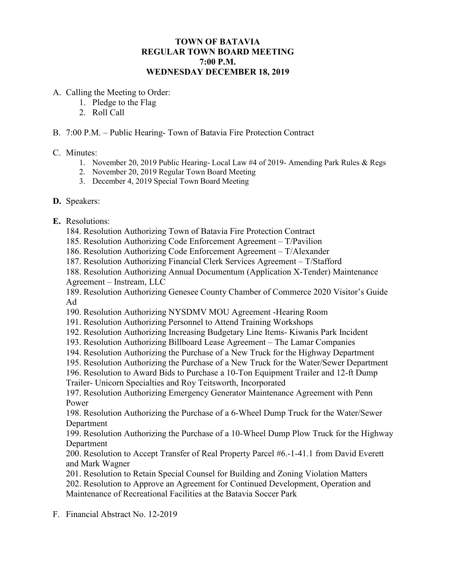## **TOWN OF BATAVIA REGULAR TOWN BOARD MEETING 7:00 P.M. WEDNESDAY DECEMBER 18, 2019**

- A. Calling the Meeting to Order:
	- 1. Pledge to the Flag
	- 2. Roll Call
- B. 7:00 P.M. Public Hearing- Town of Batavia Fire Protection Contract

## C. Minutes:

- 1. November 20, 2019 Public Hearing- Local Law #4 of 2019- Amending Park Rules & Regs
- 2. November 20, 2019 Regular Town Board Meeting
- 3. December 4, 2019 Special Town Board Meeting

## **D.** Speakers:

- **E.** Resolutions:
	- 184. Resolution Authorizing Town of Batavia Fire Protection Contract
	- 185. Resolution Authorizing Code Enforcement Agreement T/Pavilion
	- 186. Resolution Authorizing Code Enforcement Agreement T/Alexander
	- 187. Resolution Authorizing Financial Clerk Services Agreement T/Stafford
	- 188. Resolution Authorizing Annual Documentum (Application X-Tender) Maintenance Agreement – Instream, LLC

189. Resolution Authorizing Genesee County Chamber of Commerce 2020 Visitor's Guide Ad

- 190. Resolution Authorizing NYSDMV MOU Agreement -Hearing Room
- 191. Resolution Authorizing Personnel to Attend Training Workshops
- 192. Resolution Authorizing Increasing Budgetary Line Items- Kiwanis Park Incident
- 193. Resolution Authorizing Billboard Lease Agreement The Lamar Companies
- 194. Resolution Authorizing the Purchase of a New Truck for the Highway Department
- 195. Resolution Authorizing the Purchase of a New Truck for the Water/Sewer Department

196. Resolution to Award Bids to Purchase a 10-Ton Equipment Trailer and 12-ft Dump Trailer- Unicorn Specialties and Roy Teitsworth, Incorporated

197. Resolution Authorizing Emergency Generator Maintenance Agreement with Penn Power

198. Resolution Authorizing the Purchase of a 6-Wheel Dump Truck for the Water/Sewer Department

199. Resolution Authorizing the Purchase of a 10-Wheel Dump Plow Truck for the Highway Department

200. Resolution to Accept Transfer of Real Property Parcel #6.-1-41.1 from David Everett and Mark Wagner

201. Resolution to Retain Special Counsel for Building and Zoning Violation Matters 202. Resolution to Approve an Agreement for Continued Development, Operation and Maintenance of Recreational Facilities at the Batavia Soccer Park

F. Financial Abstract No. 12-2019